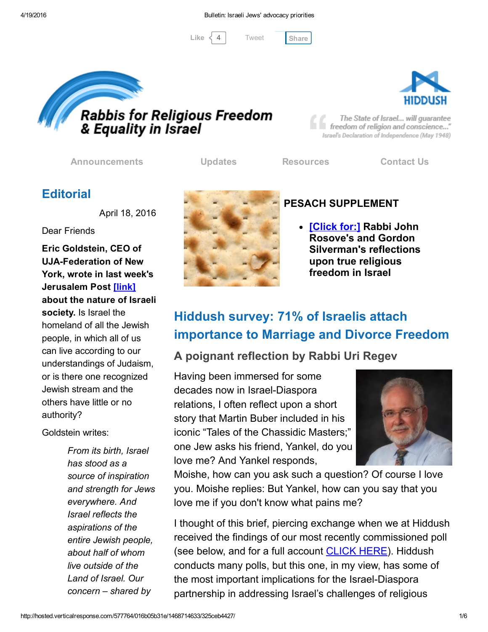[Tweet](https://twitter.com/intent/tweet?original_referer=http%3A%2F%2Fhosted.verticalresponse.com%2F577764%2F016b05b31e%2F1468714633%2F325ceb4427%2F&ref_src=twsrc%5Etfw&text=Bulletin%3A%20Israeli%20Jews%27%20advocacy%20priorities%3A&tw_p=tweetbutton&url=http%3A%2F%2Fhosted-p0.vresp.com%2F577764%2F016b05b31e%2FARCHIVE%23.VxYYNZBx1B0.twitter)

Like  $\langle 4 \rangle$  Tweet [Share](javascript:void(0);)





The State of Israel... will guarantee freedom of religion and conscience..." Israel's Declaration of Independence (May 1948)

[Announcements](http://cts.vresp.com/c/?FreedomofReligionfor/016b05b31e/325ceb4427/e6b71fe406) [Updates](http://cts.vresp.com/c/?FreedomofReligionfor/016b05b31e/325ceb4427/778c1392ec) [Resources](http://cts.vresp.com/c/?FreedomofReligionfor/016b05b31e/325ceb4427/7af2c56d2e) [Contact](http://cts.vresp.com/c/?FreedomofReligionfor/016b05b31e/325ceb4427/3876b224d7) Us

## **Editorial**

April 18, 2016

Dear Friends

Eric Goldstein, CEO of **UJA-Federation of New** York, wrote in last week's Jerusalem Post [\[link\]](http://cts.vresp.com/c/?FreedomofReligionfor/016b05b31e/325ceb4427/03287327be) about the nature of Israeli society. Is Israel the homeland of all the Jewish people, in which all of us can live according to our understandings of Judaism, or is there one recognized Jewish stream and the others have little or no authority?

Goldstein writes:

*From its birth, Israel has stood as a source of inspiration and strength for Jews everywhere. And Israel reflects the aspirations of the entire Jewish people, about half of whom live outside of the Land of Israel. Our concern – shared by*



#### PESACH SUPPLEMENT

• <u>[\[Click](http://cts.vresp.com/c/?FreedomofReligionfor/016b05b31e/325ceb4427/26e3caf53d) for:]</u> Rabbi John Rosove's and Gordon Silverman's reflections upon true religious freedom in Israel

# Hiddush survey: 71% of Israelis attach importance to Marriage and Divorce Freedom

#### A poignant reflection by Rabbi Uri Regev

Having been immersed for some decades now in Israel-Diaspora relations, I often reflect upon a short story that Martin Buber included in his iconic "Tales of the Chassidic Masters;" one Jew asks his friend, Yankel, do you love me? And Yankel responds,



Moishe, how can you ask such a question? Of course I love you. Moishe replies: But Yankel, how can you say that you love me if you don't know what pains me?

I thought of this brief, piercing exchange when we at Hiddush received the findings of our most recently commissioned poll (see below, and for a full account **[CLICK](http://cts.vresp.com/c/?FreedomofReligionfor/016b05b31e/325ceb4427/21b53f81eb) HERE**). Hiddush conducts many polls, but this one, in my view, has some of the most important implications for the Israel-Diaspora partnership in addressing Israel's challenges of religious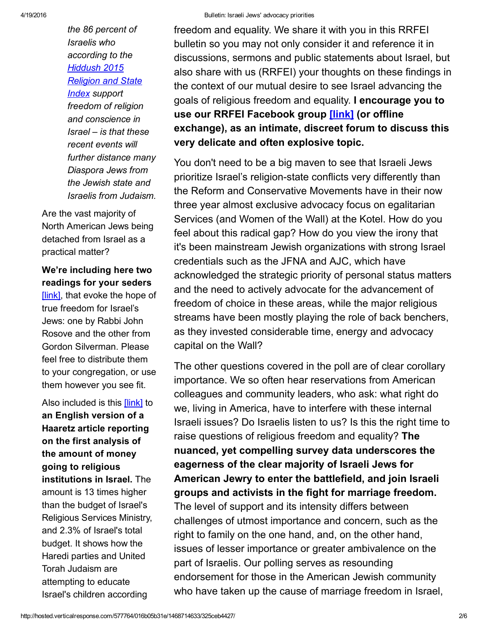*the 86 percent of Israelis who according to the [Hiddush](http://cts.vresp.com/c/?FreedomofReligionfor/016b05b31e/325ceb4427/89af54e867/aid=1602) 2015 Religion and State Index support freedom of religion and conscience in Israel – is that these recent events will further distance many Diaspora Jews from the Jewish state and Israelis from Judaism.*

Are the vast majority of North American Jews being detached from Israel as a practical matter?

We're including here two readings for your seders [\[link\],](http://cts.vresp.com/c/?FreedomofReligionfor/016b05b31e/325ceb4427/d6278b7bc2) that evoke the hope of true freedom for Israel's Jews: one by Rabbi John Rosove and the other from Gordon Silverman. Please feel free to distribute them to your congregation, or use them however you see fit.

Also included is this [\[link\]](http://cts.vresp.com/c/?FreedomofReligionfor/016b05b31e/325ceb4427/1db712e033) to an English version of a Haaretz article reporting on the first analysis of the amount of money going to religious institutions in Israel. The amount is 13 times higher than the budget of Israel's Religious Services Ministry, and 2.3% of Israel's total budget. It shows how the Haredi parties and United Torah Judaism are attempting to educate Israel's children according

freedom and equality. We share it with you in this RRFEI bulletin so you may not only consider it and reference it in discussions, sermons and public statements about Israel, but also share with us (RRFEI) your thoughts on these findings in the context of our mutual desire to see Israel advancing the goals of religious freedom and equality. I encourage you to use our RRFEI Facebook group [\[link\]](http://cts.vresp.com/c/?FreedomofReligionfor/016b05b31e/325ceb4427/94a65715ab) (or offline exchange), as an intimate, discreet forum to discuss this very delicate and often explosive topic.

You don't need to be a big maven to see that Israeli Jews prioritize Israel's religion-state conflicts very differently than the Reform and Conservative Movements have in their now three year almost exclusive advocacy focus on egalitarian Services (and Women of the Wall) at the Kotel. How do you feel about this radical gap? How do you view the irony that it's been mainstream Jewish organizations with strong Israel credentials such as the JFNA and AJC, which have acknowledged the strategic priority of personal status matters and the need to actively advocate for the advancement of freedom of choice in these areas, while the major religious streams have been mostly playing the role of back benchers, as they invested considerable time, energy and advocacy capital on the Wall?

The other questions covered in the poll are of clear corollary importance. We so often hear reservations from American colleagues and community leaders, who ask: what right do we, living in America, have to interfere with these internal Israeli issues? Do Israelis listen to us? Is this the right time to raise questions of religious freedom and equality? The nuanced, yet compelling survey data underscores the eagerness of the clear majority of Israeli Jews for American Jewry to enter the battlefield, and join Israeli groups and activists in the fight for marriage freedom. The level of support and its intensity differs between challenges of utmost importance and concern, such as the right to family on the one hand, and, on the other hand, issues of lesser importance or greater ambivalence on the part of Israelis. Our polling serves as resounding endorsement for those in the American Jewish community who have taken up the cause of marriage freedom in Israel,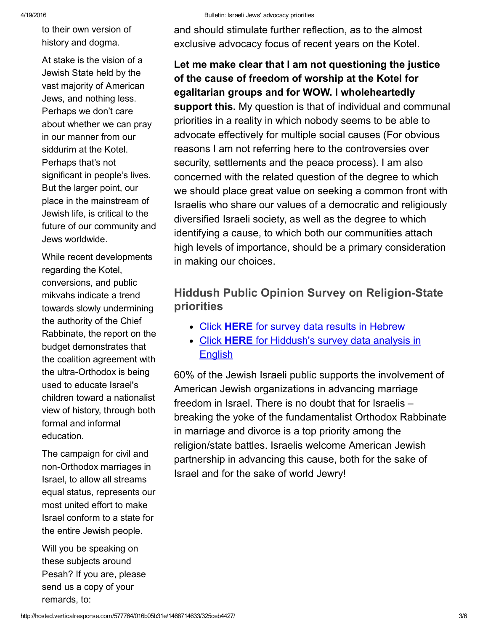to their own version of history and dogma.

At stake is the vision of a Jewish State held by the vast majority of American Jews, and nothing less. Perhaps we don't care about whether we can pray in our manner from our siddurim at the Kotel. Perhaps that's not significant in people's lives. But the larger point, our place in the mainstream of Jewish life, is critical to the future of our community and Jews worldwide.

While recent developments regarding the Kotel, conversions, and public mikvahs indicate a trend towards slowly undermining the authority of the Chief Rabbinate, the report on the budget demonstrates that the coalition agreement with the ultra-Orthodox is being used to educate Israel's children toward a nationalist view of history, through both formal and informal education.

The campaign for civil and non-Orthodox marriages in Israel, to allow all streams equal status, represents our most united effort to make Israel conform to a state for the entire Jewish people.

Will you be speaking on these subjects around Pesah? If you are, please send us a copy of your remards, to:

and should stimulate further reflection, as to the almost exclusive advocacy focus of recent years on the Kotel.

## Let me make clear that I am not questioning the justice of the cause of freedom of worship at the Kotel for egalitarian groups and for WOW. I wholeheartedly

support this. My question is that of individual and communal priorities in a reality in which nobody seems to be able to advocate effectively for multiple social causes (For obvious reasons I am not referring here to the controversies over security, settlements and the peace process). I am also concerned with the related question of the degree to which we should place great value on seeking a common front with Israelis who share our values of a democratic and religiously diversified Israeli society, as well as the degree to which identifying a cause, to which both our communities attach high levels of importance, should be a primary consideration in making our choices.

#### Hiddush Public Opinion Survey on Religion-State priorities

- Click HERE for survey data results in [Hebrew](http://cts.vresp.com/c/?FreedomofReligionfor/016b05b31e/325ceb4427/47babb81ad)
- Click HERE for [Hiddush's](http://cts.vresp.com/c/?FreedomofReligionfor/016b05b31e/325ceb4427/267351733a) survey data analysis in **English**

60% of the Jewish Israeli public supports the involvement of American Jewish organizations in advancing marriage freedom in Israel. There is no doubt that for Israelis – breaking the yoke of the fundamentalist Orthodox Rabbinate in marriage and divorce is a top priority among the religion/state battles. Israelis welcome American Jewish partnership in advancing this cause, both for the sake of Israel and for the sake of world Jewry!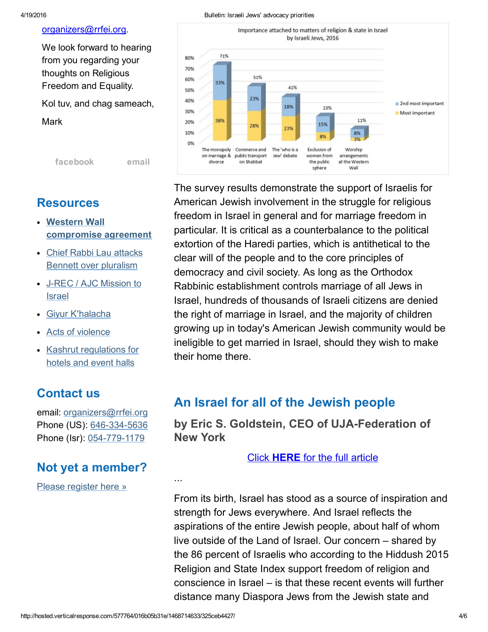#### [organizers@rrfei.org.](mailto:organizers@rrfei.org)

We look forward to hearing from you regarding your thoughts on Religious Freedom and Equality.

Kol tuv, and chag sameach,

Mark

[facebook](http://cts.vresp.com/c/?FreedomofReligionfor/016b05b31e/325ceb4427/9200aef3d7) [email](mailto:organizers@rrfei.org)

#### Resources

- Western Wall [compromise](http://cts.vresp.com/c/?FreedomofReligionfor/016b05b31e/325ceb4427/08374dd86f) agreement
- Chief Rabbi Lau attacks Bennett over [pluralism](http://cts.vresp.com/c/?FreedomofReligionfor/016b05b31e/325ceb4427/ac8f5bc6c2)
- J-REC / AJC [Mission](http://cts.vresp.com/c/?FreedomofReligionfor/016b05b31e/325ceb4427/6c2d1af98e) to Israel
- Giyur [K'halacha](http://cts.vresp.com/c/?FreedomofReligionfor/016b05b31e/325ceb4427/2a5b1095ea)
- Acts of [violence](http://cts.vresp.com/c/?FreedomofReligionfor/016b05b31e/325ceb4427/1484d42f6b)
- Kashrut [regulations](http://cts.vresp.com/c/?FreedomofReligionfor/016b05b31e/325ceb4427/1a4428679d) for hotels and event halls

## Contact us

email: [organizers@rrfei.org](mailto:organizers@rrfei.org) Phone (US): 646-334-5636 Phone (Isr): 054-779-1179

## Not yet a member?

Please [register](http://cts.vresp.com/c/?FreedomofReligionfor/016b05b31e/325ceb4427/9b3ddf363c) here »





The survey results demonstrate the support of Israelis for American Jewish involvement in the struggle for religious freedom in Israel in general and for marriage freedom in particular. It is critical as a counterbalance to the political extortion of the Haredi parties, which is antithetical to the clear will of the people and to the core principles of democracy and civil society. As long as the Orthodox Rabbinic establishment controls marriage of all Jews in Israel, hundreds of thousands of Israeli citizens are denied the right of marriage in Israel, and the majority of children growing up in today's American Jewish community would be ineligible to get married in Israel, should they wish to make their home there.

## An Israel for all of the Jewish people

by Eric S. Goldstein, CEO of UJA-Federation of New York

#### Click [HERE](http://cts.vresp.com/c/?FreedomofReligionfor/016b05b31e/325ceb4427/1f21821ecf) for the full article

From its birth, Israel has stood as a source of inspiration and strength for Jews everywhere. And Israel reflects the aspirations of the entire Jewish people, about half of whom live outside of the Land of Israel. Our concern – shared by the 86 percent of Israelis who according to the Hiddush 2015 Religion and State Index support freedom of religion and conscience in Israel – is that these recent events will further distance many Diaspora Jews from the Jewish state and

...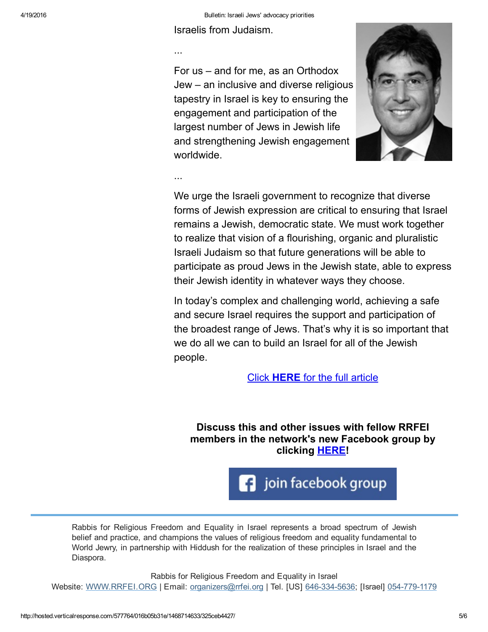Israelis from Judaism.

...

For us – and for me, as an Orthodox Jew – an inclusive and diverse religious tapestry in Israel is key to ensuring the engagement and participation of the largest number of Jews in Jewish life and strengthening Jewish engagement worldwide.



...

We urge the Israeli government to recognize that diverse forms of Jewish expression are critical to ensuring that Israel remains a Jewish, democratic state. We must work together to realize that vision of a flourishing, organic and pluralistic Israeli Judaism so that future generations will be able to participate as proud Jews in the Jewish state, able to express their Jewish identity in whatever ways they choose.

In today's complex and challenging world, achieving a safe and secure Israel requires the support and participation of the broadest range of Jews. That's why it is so important that we do all we can to build an Israel for all of the Jewish people.

Click [HERE](http://cts.vresp.com/c/?FreedomofReligionfor/016b05b31e/325ceb4427/4020831722) for the full article

Discuss this and other issues with fellow RRFEI members in the network's new Facebook group by clicking **[HERE!](http://cts.vresp.com/c/?FreedomofReligionfor/016b05b31e/325ceb4427/c82325d73e)** 

join facebook group

Rabbis for Religious Freedom and Equality in Israel represents a broad spectrum of Jewish belief and practice, and champions the values of religious freedom and equality fundamental to World Jewry, in partnership with Hiddush for the realization of these principles in Israel and the Diaspora.

Rabbis for Religious Freedom and Equality in Israel Website: [WWW.RRFEI.ORG](http://cts.vresp.com/c/?FreedomofReligionfor/016b05b31e/325ceb4427/a65a204da8) | Email: [organizers@rrfei.org](mailto:organizers@rrfei.org) | Tel. [US] 646-334-5636; [Israel] 054-779-1179